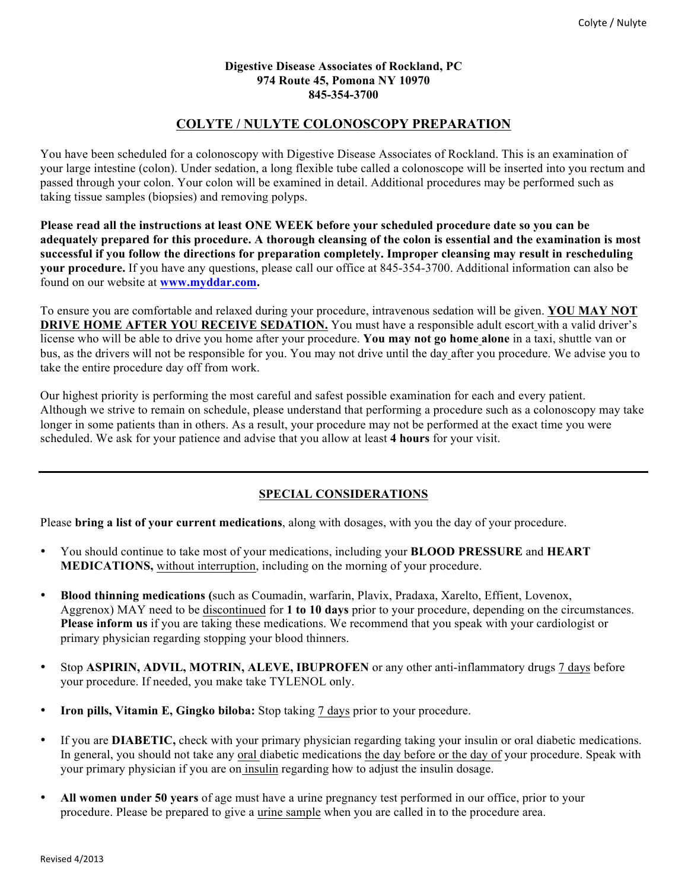#### **Digestive Disease Associates of Rockland, PC 974 Route 45, Pomona NY 10970 845-354-3700**

# **COLYTE / NULYTE COLONOSCOPY PREPARATION**

You have been scheduled for a colonoscopy with Digestive Disease Associates of Rockland. This is an examination of your large intestine (colon). Under sedation, a long flexible tube called a colonoscope will be inserted into you rectum and passed through your colon. Your colon will be examined in detail. Additional procedures may be performed such as taking tissue samples (biopsies) and removing polyps.

**Please read all the instructions at least ONE WEEK before your scheduled procedure date so you can be adequately prepared for this procedure. A thorough cleansing of the colon is essential and the examination is most successful if you follow the directions for preparation completely. Improper cleansing may result in rescheduling your procedure.** If you have any questions, please call our office at 845-354-3700. Additional information can also be found on our website at **www.myddar.com.**

To ensure you are comfortable and relaxed during your procedure, intravenous sedation will be given. **YOU MAY NOT DRIVE HOME AFTER YOU RECEIVE SEDATION.** You must have a responsible adult escort with a valid driver's license who will be able to drive you home after your procedure. **You may not go home alone** in a taxi, shuttle van or bus, as the drivers will not be responsible for you. You may not drive until the day after you procedure. We advise you to take the entire procedure day off from work.

Our highest priority is performing the most careful and safest possible examination for each and every patient. Although we strive to remain on schedule, please understand that performing a procedure such as a colonoscopy may take longer in some patients than in others. As a result, your procedure may not be performed at the exact time you were scheduled. We ask for your patience and advise that you allow at least **4 hours** for your visit.

## **SPECIAL CONSIDERATIONS**

Please **bring a list of your current medications**, along with dosages, with you the day of your procedure.

- You should continue to take most of your medications, including your **BLOOD PRESSURE** and **HEART MEDICATIONS,** without interruption, including on the morning of your procedure.
- **Blood thinning medications (**such as Coumadin, warfarin, Plavix, Pradaxa, Xarelto, Effient, Lovenox, Aggrenox) MAY need to be discontinued for **1 to 10 days** prior to your procedure, depending on the circumstances. **Please inform us** if you are taking these medications. We recommend that you speak with your cardiologist or primary physician regarding stopping your blood thinners.
- Stop **ASPIRIN, ADVIL, MOTRIN, ALEVE, IBUPROFEN** or any other anti-inflammatory drugs 7 days before your procedure. If needed, you make take TYLENOL only.
- **Iron pills, Vitamin E, Gingko biloba:** Stop taking 7 days prior to your procedure.
- If you are **DIABETIC,** check with your primary physician regarding taking your insulin or oral diabetic medications. In general, you should not take any oral diabetic medications the day before or the day of your procedure. Speak with your primary physician if you are on insulin regarding how to adjust the insulin dosage.
- **All women under 50 years** of age must have a urine pregnancy test performed in our office, prior to your procedure. Please be prepared to give a urine sample when you are called in to the procedure area.